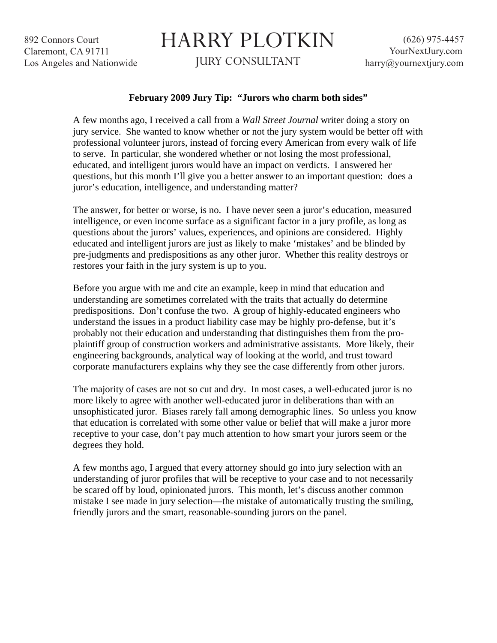892 Connors Court Claremont, CA 91711 Los Angeles and Nationwide

## HARRY PLOTKIN

JURY CONSULTANT

## **February 2009 Jury Tip: "Jurors who charm both sides"**

A few months ago, I received a call from a *Wall Street Journal* writer doing a story on jury service. She wanted to know whether or not the jury system would be better off with professional volunteer jurors, instead of forcing every American from every walk of life to serve. In particular, she wondered whether or not losing the most professional, educated, and intelligent jurors would have an impact on verdicts. I answered her questions, but this month I'll give you a better answer to an important question: does a juror's education, intelligence, and understanding matter?

The answer, for better or worse, is no. I have never seen a juror's education, measured intelligence, or even income surface as a significant factor in a jury profile, as long as questions about the jurors' values, experiences, and opinions are considered. Highly educated and intelligent jurors are just as likely to make 'mistakes' and be blinded by pre-judgments and predispositions as any other juror. Whether this reality destroys or restores your faith in the jury system is up to you.

Before you argue with me and cite an example, keep in mind that education and understanding are sometimes correlated with the traits that actually do determine predispositions. Don't confuse the two. A group of highly-educated engineers who understand the issues in a product liability case may be highly pro-defense, but it's probably not their education and understanding that distinguishes them from the proplaintiff group of construction workers and administrative assistants. More likely, their engineering backgrounds, analytical way of looking at the world, and trust toward corporate manufacturers explains why they see the case differently from other jurors.

The majority of cases are not so cut and dry. In most cases, a well-educated juror is no more likely to agree with another well-educated juror in deliberations than with an unsophisticated juror. Biases rarely fall among demographic lines. So unless you know that education is correlated with some other value or belief that will make a juror more receptive to your case, don't pay much attention to how smart your jurors seem or the degrees they hold.

A few months ago, I argued that every attorney should go into jury selection with an understanding of juror profiles that will be receptive to your case and to not necessarily be scared off by loud, opinionated jurors. This month, let's discuss another common mistake I see made in jury selection—the mistake of automatically trusting the smiling, friendly jurors and the smart, reasonable-sounding jurors on the panel.